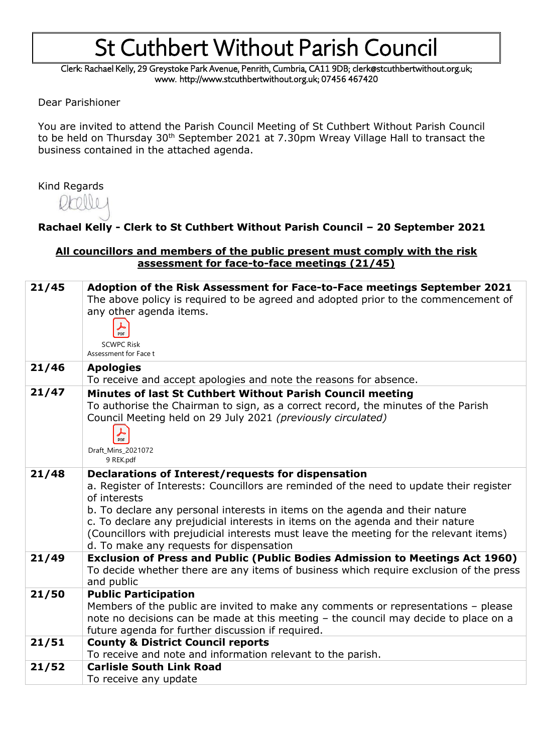Clerk: Rachael Kelly, 29 Greystoke Park Avenue, Penrith, Cumbria, CA11 9DB; clerk@stcuthbertwithout.org.uk; www. http://www.stcuthbertwithout.org.uk; 07456 467420

Dear Parishioner

You are invited to attend the Parish Council Meeting of St Cuthbert Without Parish Council to be held on Thursday 30<sup>th</sup> September 2021 at 7.30pm Wreay Village Hall to transact the business contained in the attached agenda.

### Kind Regards

### **Rachael Kelly - Clerk to St Cuthbert Without Parish Council – 20 September 2021**

#### **All councillors and members of the public present must comply with the risk assessment for face-to-face meetings (21/45)**

| 21/45 | Adoption of the Risk Assessment for Face-to-Face meetings September 2021<br>The above policy is required to be agreed and adopted prior to the commencement of<br>any other agenda items.<br>PDF<br><b>SCWPC Risk</b><br>Assessment for Face t                                                                                                                                                                                                                         |
|-------|------------------------------------------------------------------------------------------------------------------------------------------------------------------------------------------------------------------------------------------------------------------------------------------------------------------------------------------------------------------------------------------------------------------------------------------------------------------------|
| 21/46 | <b>Apologies</b><br>To receive and accept apologies and note the reasons for absence.                                                                                                                                                                                                                                                                                                                                                                                  |
| 21/47 | Minutes of last St Cuthbert Without Parish Council meeting<br>To authorise the Chairman to sign, as a correct record, the minutes of the Parish<br>Council Meeting held on 29 July 2021 (previously circulated)<br>PDF<br>Draft_Mins_2021072<br>9 REK.pdf                                                                                                                                                                                                              |
| 21/48 | Declarations of Interest/requests for dispensation<br>a. Register of Interests: Councillors are reminded of the need to update their register<br>of interests<br>b. To declare any personal interests in items on the agenda and their nature<br>c. To declare any prejudicial interests in items on the agenda and their nature<br>(Councillors with prejudicial interests must leave the meeting for the relevant items)<br>d. To make any requests for dispensation |
| 21/49 | <b>Exclusion of Press and Public (Public Bodies Admission to Meetings Act 1960)</b><br>To decide whether there are any items of business which require exclusion of the press<br>and public                                                                                                                                                                                                                                                                            |
| 21/50 | <b>Public Participation</b><br>Members of the public are invited to make any comments or representations - please<br>note no decisions can be made at this meeting - the council may decide to place on a<br>future agenda for further discussion if required.                                                                                                                                                                                                         |
| 21/51 | <b>County &amp; District Council reports</b><br>To receive and note and information relevant to the parish.                                                                                                                                                                                                                                                                                                                                                            |
| 21/52 | <b>Carlisle South Link Road</b><br>To receive any update                                                                                                                                                                                                                                                                                                                                                                                                               |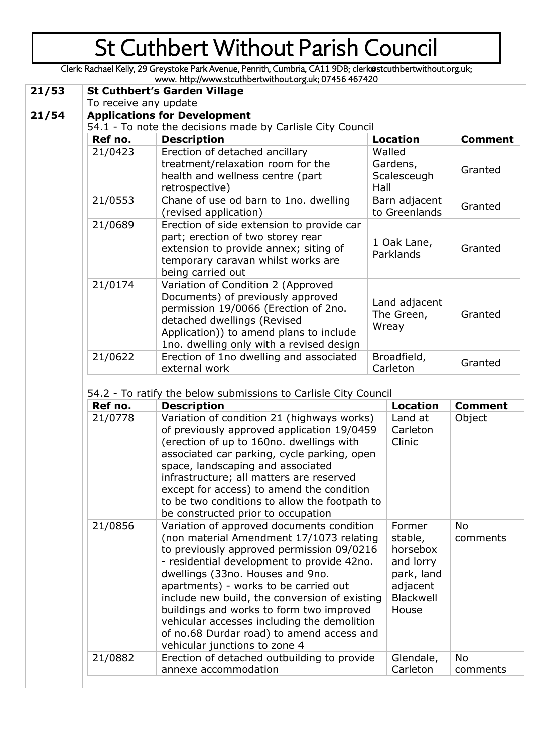Clerk: Rachael Kelly, 29 Greystoke Park Avenue, Penrith, Cumbria, CA11 9DB; clerk@stcuthbertwithout.org.uk;

|       |                                                            | www. http://www.stcuthbertwithout.org.uk; 07456 467420                                                                                                                                                                                |                                           |                |  |  |
|-------|------------------------------------------------------------|---------------------------------------------------------------------------------------------------------------------------------------------------------------------------------------------------------------------------------------|-------------------------------------------|----------------|--|--|
| 21/53 | <b>St Cuthbert's Garden Village</b>                        |                                                                                                                                                                                                                                       |                                           |                |  |  |
|       | To receive any update                                      |                                                                                                                                                                                                                                       |                                           |                |  |  |
| 21/54 | <b>Applications for Development</b>                        |                                                                                                                                                                                                                                       |                                           |                |  |  |
|       | 54.1 - To note the decisions made by Carlisle City Council |                                                                                                                                                                                                                                       |                                           |                |  |  |
|       | Ref no.                                                    | <b>Description</b>                                                                                                                                                                                                                    | <b>Location</b>                           | <b>Comment</b> |  |  |
|       | 21/0423                                                    | Erection of detached ancillary<br>treatment/relaxation room for the<br>health and wellness centre (part<br>retrospective)                                                                                                             | Walled<br>Gardens,<br>Scalesceugh<br>Hall | Granted        |  |  |
|       | 21/0553                                                    | Chane of use od barn to 1no. dwelling<br>(revised application)                                                                                                                                                                        | Barn adjacent<br>to Greenlands            | Granted        |  |  |
|       | 21/0689                                                    | Erection of side extension to provide car<br>part; erection of two storey rear<br>extension to provide annex; siting of<br>temporary caravan whilst works are<br>being carried out                                                    | 1 Oak Lane,<br>Parklands                  | Granted        |  |  |
|       | 21/0174                                                    | Variation of Condition 2 (Approved<br>Documents) of previously approved<br>permission 19/0066 (Erection of 2no.<br>detached dwellings (Revised<br>Application)) to amend plans to include<br>1no. dwelling only with a revised design | Land adjacent<br>The Green,<br>Wreay      | Granted        |  |  |
|       | 21/0622                                                    | Erection of 1no dwelling and associated<br>external work                                                                                                                                                                              | Broadfield,<br>Carleton                   | Granted        |  |  |

54.2 - To ratify the below submissions to Carlisle City Council

| Ref no. | <b>Description</b>                                                                                                                                                                                                                                                                                                                                                                                                                                                                      | <b>Location</b>                                                                            | <b>Comment</b>        |
|---------|-----------------------------------------------------------------------------------------------------------------------------------------------------------------------------------------------------------------------------------------------------------------------------------------------------------------------------------------------------------------------------------------------------------------------------------------------------------------------------------------|--------------------------------------------------------------------------------------------|-----------------------|
| 21/0778 | Variation of condition 21 (highways works)<br>of previously approved application 19/0459<br>(erection of up to 160no. dwellings with<br>associated car parking, cycle parking, open<br>space, landscaping and associated<br>infrastructure; all matters are reserved<br>except for access) to amend the condition<br>to be two conditions to allow the footpath to<br>be constructed prior to occupation                                                                                | Land at<br>Carleton<br>Clinic                                                              | Object                |
| 21/0856 | Variation of approved documents condition<br>(non material Amendment 17/1073 relating<br>to previously approved permission 09/0216<br>- residential development to provide 42no.<br>dwellings (33no. Houses and 9no.<br>apartments) - works to be carried out<br>include new build, the conversion of existing<br>buildings and works to form two improved<br>vehicular accesses including the demolition<br>of no.68 Durdar road) to amend access and<br>vehicular junctions to zone 4 | Former<br>stable,<br>horsebox<br>and lorry<br>park, land<br>adjacent<br>Blackwell<br>House | <b>No</b><br>comments |
| 21/0882 | Erection of detached outbuilding to provide                                                                                                                                                                                                                                                                                                                                                                                                                                             | Glendale,                                                                                  | <b>No</b>             |
|         | annexe accommodation                                                                                                                                                                                                                                                                                                                                                                                                                                                                    | Carleton                                                                                   | comments              |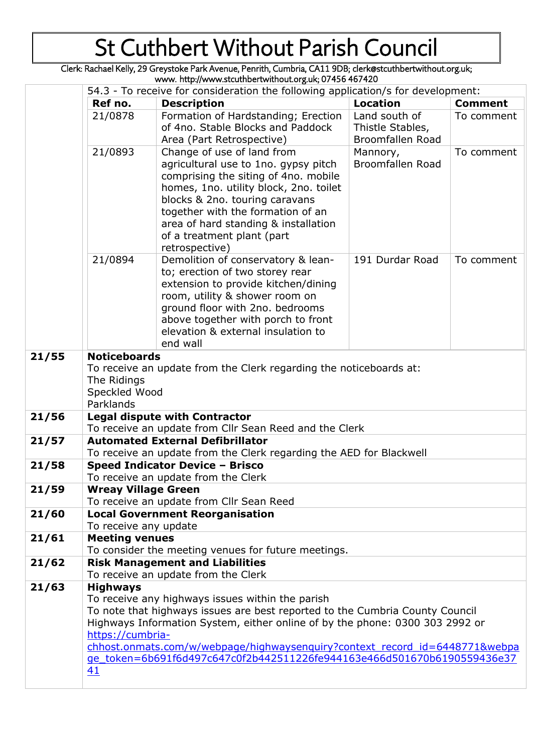Clerk: Rachael Kelly, 29 Greystoke Park Avenue, Penrith, Cumbria, CA11 9DB; clerk@stcuthbertwithout.org.uk; www. http://www.stcuthbertwithout.org.uk; 07456 467420

|       | 54.3 - To receive for consideration the following application/s for development:                                                                                                                                                                                                                                                                                                                                        |                                                                                                                                                                                                                                                                                                                     |                                                       |                |  |
|-------|-------------------------------------------------------------------------------------------------------------------------------------------------------------------------------------------------------------------------------------------------------------------------------------------------------------------------------------------------------------------------------------------------------------------------|---------------------------------------------------------------------------------------------------------------------------------------------------------------------------------------------------------------------------------------------------------------------------------------------------------------------|-------------------------------------------------------|----------------|--|
|       | Ref no.                                                                                                                                                                                                                                                                                                                                                                                                                 | <b>Description</b>                                                                                                                                                                                                                                                                                                  | <b>Location</b>                                       | <b>Comment</b> |  |
|       | 21/0878                                                                                                                                                                                                                                                                                                                                                                                                                 | Formation of Hardstanding; Erection<br>of 4no. Stable Blocks and Paddock<br>Area (Part Retrospective)                                                                                                                                                                                                               | Land south of<br>Thistle Stables,<br>Broomfallen Road | To comment     |  |
|       | 21/0893                                                                                                                                                                                                                                                                                                                                                                                                                 | Change of use of land from<br>agricultural use to 1no. gypsy pitch<br>comprising the siting of 4no. mobile<br>homes, 1no. utility block, 2no. toilet<br>blocks & 2no. touring caravans<br>together with the formation of an<br>area of hard standing & installation<br>of a treatment plant (part<br>retrospective) | Mannory,<br><b>Broomfallen Road</b>                   | To comment     |  |
|       | 21/0894                                                                                                                                                                                                                                                                                                                                                                                                                 | Demolition of conservatory & lean-<br>to; erection of two storey rear<br>extension to provide kitchen/dining<br>room, utility & shower room on<br>ground floor with 2no. bedrooms<br>above together with porch to front<br>elevation & external insulation to<br>end wall                                           | 191 Durdar Road                                       | To comment     |  |
| 21/55 | <b>Noticeboards</b><br>To receive an update from the Clerk regarding the noticeboards at:<br>The Ridings<br>Speckled Wood<br>Parklands                                                                                                                                                                                                                                                                                  |                                                                                                                                                                                                                                                                                                                     |                                                       |                |  |
| 21/56 |                                                                                                                                                                                                                                                                                                                                                                                                                         | <b>Legal dispute with Contractor</b><br>To receive an update from Cllr Sean Reed and the Clerk                                                                                                                                                                                                                      |                                                       |                |  |
| 21/57 |                                                                                                                                                                                                                                                                                                                                                                                                                         | <b>Automated External Defibrillator</b><br>To receive an update from the Clerk regarding the AED for Blackwell                                                                                                                                                                                                      |                                                       |                |  |
| 21/58 | Speed Indicator Device - Brisco<br>To receive an update from the Clerk                                                                                                                                                                                                                                                                                                                                                  |                                                                                                                                                                                                                                                                                                                     |                                                       |                |  |
| 21/59 | <b>Wreay Village Green</b><br>To receive an update from Cllr Sean Reed                                                                                                                                                                                                                                                                                                                                                  |                                                                                                                                                                                                                                                                                                                     |                                                       |                |  |
| 21/60 | <b>Local Government Reorganisation</b><br>To receive any update                                                                                                                                                                                                                                                                                                                                                         |                                                                                                                                                                                                                                                                                                                     |                                                       |                |  |
| 21/61 | <b>Meeting venues</b><br>To consider the meeting venues for future meetings.                                                                                                                                                                                                                                                                                                                                            |                                                                                                                                                                                                                                                                                                                     |                                                       |                |  |
| 21/62 | <b>Risk Management and Liabilities</b><br>To receive an update from the Clerk                                                                                                                                                                                                                                                                                                                                           |                                                                                                                                                                                                                                                                                                                     |                                                       |                |  |
| 21/63 | <b>Highways</b><br>To receive any highways issues within the parish<br>To note that highways issues are best reported to the Cumbria County Council<br>Highways Information System, either online of by the phone: 0300 303 2992 or<br>https://cumbria-<br>chhost.onmats.com/w/webpage/highwaysenguiry?context record id=6448771&webpa<br>ge token=6b691f6d497c647c0f2b442511226fe944163e466d501670b6190559436e37<br>41 |                                                                                                                                                                                                                                                                                                                     |                                                       |                |  |